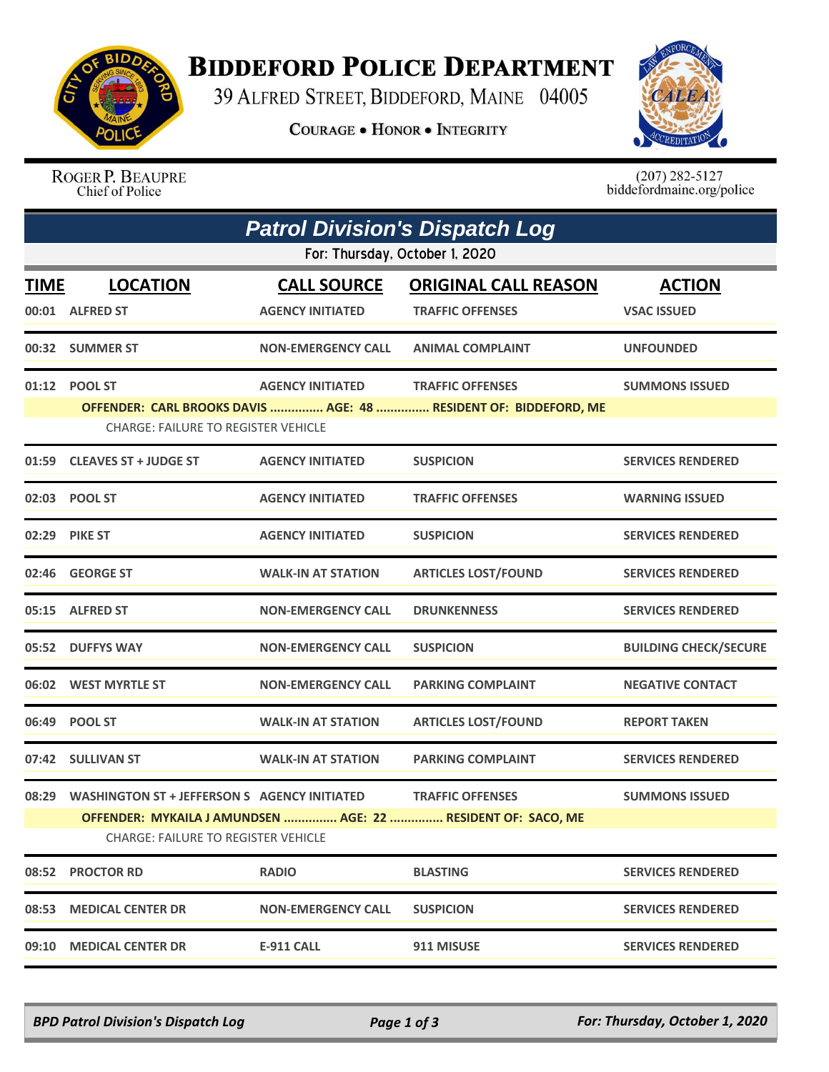

## **BIDDEFORD POLICE DEPARTMENT**

39 ALFRED STREET, BIDDEFORD, MAINE 04005

**COURAGE . HONOR . INTEGRITY** 



ROGER P. BEAUPRE Chief of Police

 $(207)$  282-5127<br>biddefordmaine.org/police

|                                                                                                                                                                                                                                | <b>Patrol Division's Dispatch Log</b>                                                                                                                                                                          |                                               |                                                        |                                     |  |  |  |  |
|--------------------------------------------------------------------------------------------------------------------------------------------------------------------------------------------------------------------------------|----------------------------------------------------------------------------------------------------------------------------------------------------------------------------------------------------------------|-----------------------------------------------|--------------------------------------------------------|-------------------------------------|--|--|--|--|
|                                                                                                                                                                                                                                | For: Thursday, October 1, 2020                                                                                                                                                                                 |                                               |                                                        |                                     |  |  |  |  |
| <u>TIME</u>                                                                                                                                                                                                                    | <b>LOCATION</b><br>00:01 ALFRED ST                                                                                                                                                                             | <b>CALL SOURCE</b><br><b>AGENCY INITIATED</b> | <b>ORIGINAL CALL REASON</b><br><b>TRAFFIC OFFENSES</b> | <b>ACTION</b><br><b>VSAC ISSUED</b> |  |  |  |  |
|                                                                                                                                                                                                                                | 00:32 SUMMER ST                                                                                                                                                                                                | <b>NON-EMERGENCY CALL</b>                     | <b>ANIMAL COMPLAINT</b>                                | <b>UNFOUNDED</b>                    |  |  |  |  |
|                                                                                                                                                                                                                                | 01:12 POOL ST<br><b>AGENCY INITIATED</b><br><b>TRAFFIC OFFENSES</b><br><b>SUMMONS ISSUED</b><br>OFFENDER: CARL BROOKS DAVIS  AGE: 48  RESIDENT OF: BIDDEFORD, ME<br><b>CHARGE: FAILURE TO REGISTER VEHICLE</b> |                                               |                                                        |                                     |  |  |  |  |
|                                                                                                                                                                                                                                | 01:59 CLEAVES ST + JUDGE ST                                                                                                                                                                                    | <b>AGENCY INITIATED</b>                       | <b>SUSPICION</b>                                       | <b>SERVICES RENDERED</b>            |  |  |  |  |
|                                                                                                                                                                                                                                | 02:03 POOL ST                                                                                                                                                                                                  | <b>AGENCY INITIATED</b>                       | <b>TRAFFIC OFFENSES</b>                                | <b>WARNING ISSUED</b>               |  |  |  |  |
|                                                                                                                                                                                                                                | 02:29 PIKE ST                                                                                                                                                                                                  | <b>AGENCY INITIATED</b>                       | <b>SUSPICION</b>                                       | <b>SERVICES RENDERED</b>            |  |  |  |  |
|                                                                                                                                                                                                                                | 02:46 GEORGE ST                                                                                                                                                                                                | <b>WALK-IN AT STATION</b>                     | <b>ARTICLES LOST/FOUND</b>                             | <b>SERVICES RENDERED</b>            |  |  |  |  |
|                                                                                                                                                                                                                                | 05:15 ALFRED ST                                                                                                                                                                                                | <b>NON-EMERGENCY CALL</b>                     | <b>DRUNKENNESS</b>                                     | <b>SERVICES RENDERED</b>            |  |  |  |  |
|                                                                                                                                                                                                                                | 05:52 DUFFYS WAY                                                                                                                                                                                               | <b>NON-EMERGENCY CALL</b>                     | <b>SUSPICION</b>                                       | <b>BUILDING CHECK/SECURE</b>        |  |  |  |  |
|                                                                                                                                                                                                                                | 06:02 WEST MYRTLE ST                                                                                                                                                                                           | <b>NON-EMERGENCY CALL</b>                     | <b>PARKING COMPLAINT</b>                               | <b>NEGATIVE CONTACT</b>             |  |  |  |  |
|                                                                                                                                                                                                                                | 06:49 POOL ST                                                                                                                                                                                                  | <b>WALK-IN AT STATION</b>                     | <b>ARTICLES LOST/FOUND</b>                             | <b>REPORT TAKEN</b>                 |  |  |  |  |
|                                                                                                                                                                                                                                | 07:42 SULLIVAN ST                                                                                                                                                                                              | <b>WALK-IN AT STATION</b>                     | <b>PARKING COMPLAINT</b>                               | <b>SERVICES RENDERED</b>            |  |  |  |  |
| 08:29<br><b>WASHINGTON ST + JEFFERSON S AGENCY INITIATED</b><br><b>TRAFFIC OFFENSES</b><br><b>SUMMONS ISSUED</b><br>OFFENDER: MYKAILA J AMUNDSEN  AGE: 22  RESIDENT OF: SACO, ME<br><b>CHARGE: FAILURE TO REGISTER VEHICLE</b> |                                                                                                                                                                                                                |                                               |                                                        |                                     |  |  |  |  |
| 08:52                                                                                                                                                                                                                          | <b>PROCTOR RD</b>                                                                                                                                                                                              | <b>RADIO</b>                                  | <b>BLASTING</b>                                        | <b>SERVICES RENDERED</b>            |  |  |  |  |
| 08:53                                                                                                                                                                                                                          | <b>MEDICAL CENTER DR</b>                                                                                                                                                                                       | <b>NON-EMERGENCY CALL</b>                     | <b>SUSPICION</b>                                       | <b>SERVICES RENDERED</b>            |  |  |  |  |
| 09:10                                                                                                                                                                                                                          | <b>MEDICAL CENTER DR</b>                                                                                                                                                                                       | <b>E-911 CALL</b>                             | 911 MISUSE                                             | <b>SERVICES RENDERED</b>            |  |  |  |  |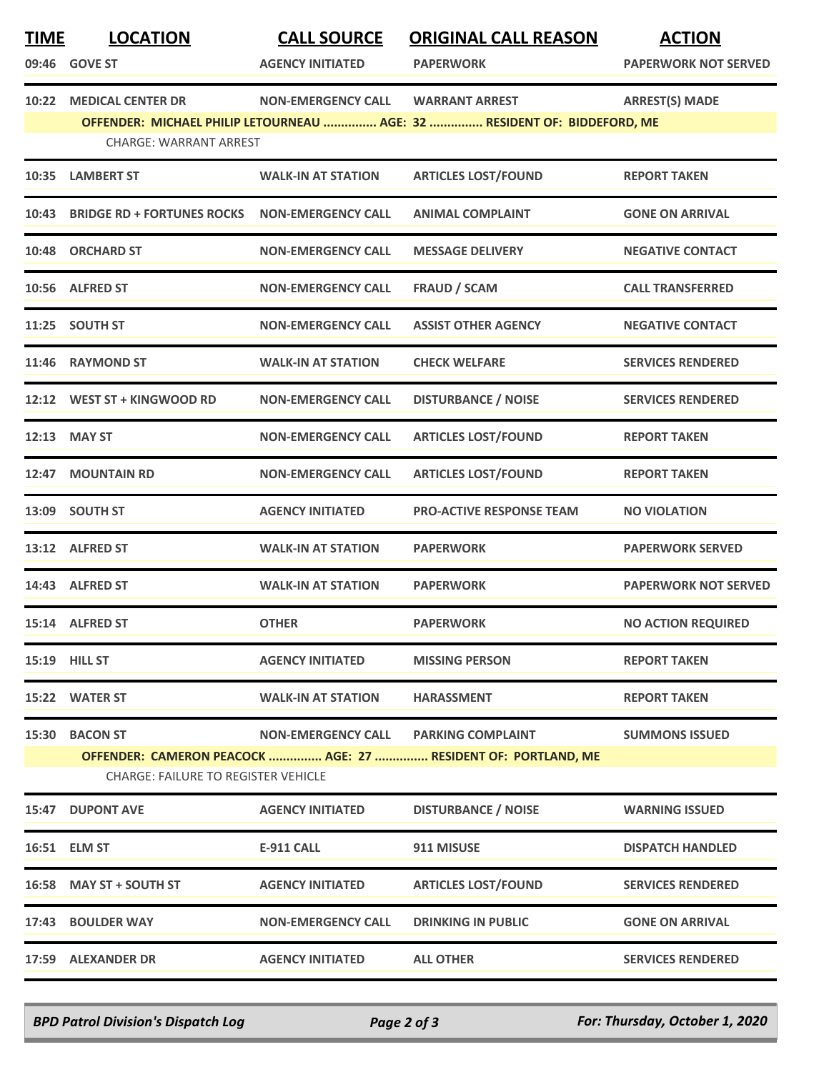| <b>TIME</b> | <b>LOCATION</b><br>09:46 GOVE ST                                                                                                                                                                                     | <b>CALL SOURCE</b><br><b>AGENCY INITIATED</b> | <b>ORIGINAL CALL REASON</b><br><b>PAPERWORK</b>                                           | <b>ACTION</b><br><b>PAPERWORK NOT SERVED</b> |  |  |
|-------------|----------------------------------------------------------------------------------------------------------------------------------------------------------------------------------------------------------------------|-----------------------------------------------|-------------------------------------------------------------------------------------------|----------------------------------------------|--|--|
| 10:22       | <b>ARREST(S) MADE</b><br><b>MEDICAL CENTER DR</b><br><b>NON-EMERGENCY CALL</b><br><b>WARRANT ARREST</b><br>OFFENDER: MICHAEL PHILIP LETOURNEAU  AGE: 32  RESIDENT OF: BIDDEFORD, ME<br><b>CHARGE: WARRANT ARREST</b> |                                               |                                                                                           |                                              |  |  |
| 10:35       | <b>LAMBERT ST</b>                                                                                                                                                                                                    | <b>WALK-IN AT STATION</b>                     | <b>ARTICLES LOST/FOUND</b>                                                                | <b>REPORT TAKEN</b>                          |  |  |
|             | 10:43 BRIDGE RD + FORTUNES ROCKS                                                                                                                                                                                     | <b>NON-EMERGENCY CALL</b>                     | <b>ANIMAL COMPLAINT</b>                                                                   | <b>GONE ON ARRIVAL</b>                       |  |  |
|             | 10:48 ORCHARD ST                                                                                                                                                                                                     | <b>NON-EMERGENCY CALL</b>                     | <b>MESSAGE DELIVERY</b>                                                                   | <b>NEGATIVE CONTACT</b>                      |  |  |
|             | 10:56 ALFRED ST                                                                                                                                                                                                      | <b>NON-EMERGENCY CALL</b>                     | <b>FRAUD / SCAM</b>                                                                       | <b>CALL TRANSFERRED</b>                      |  |  |
|             | 11:25 SOUTH ST                                                                                                                                                                                                       | <b>NON-EMERGENCY CALL</b>                     | <b>ASSIST OTHER AGENCY</b>                                                                | <b>NEGATIVE CONTACT</b>                      |  |  |
|             | 11:46 RAYMOND ST                                                                                                                                                                                                     | <b>WALK-IN AT STATION</b>                     | <b>CHECK WELFARE</b>                                                                      | <b>SERVICES RENDERED</b>                     |  |  |
| 12:12       | WEST ST + KINGWOOD RD                                                                                                                                                                                                | <b>NON-EMERGENCY CALL</b>                     | <b>DISTURBANCE / NOISE</b>                                                                | <b>SERVICES RENDERED</b>                     |  |  |
|             | 12:13 MAY ST                                                                                                                                                                                                         | <b>NON-EMERGENCY CALL</b>                     | <b>ARTICLES LOST/FOUND</b>                                                                | <b>REPORT TAKEN</b>                          |  |  |
| 12:47       | <b>MOUNTAIN RD</b>                                                                                                                                                                                                   | <b>NON-EMERGENCY CALL</b>                     | <b>ARTICLES LOST/FOUND</b>                                                                | <b>REPORT TAKEN</b>                          |  |  |
|             | 13:09 SOUTH ST                                                                                                                                                                                                       | <b>AGENCY INITIATED</b>                       | <b>PRO-ACTIVE RESPONSE TEAM</b>                                                           | <b>NO VIOLATION</b>                          |  |  |
|             | 13:12 ALFRED ST                                                                                                                                                                                                      | <b>WALK-IN AT STATION</b>                     | <b>PAPERWORK</b>                                                                          | <b>PAPERWORK SERVED</b>                      |  |  |
|             | 14:43 ALFRED ST                                                                                                                                                                                                      | <b>WALK-IN AT STATION</b>                     | <b>PAPERWORK</b>                                                                          | <b>PAPERWORK NOT SERVED</b>                  |  |  |
|             | 15:14 ALFRED ST                                                                                                                                                                                                      | <b>OTHER</b>                                  | <b>PAPERWORK</b>                                                                          | <b>NO ACTION REQUIRED</b>                    |  |  |
|             | 15:19 HILL ST                                                                                                                                                                                                        | <b>AGENCY INITIATED</b>                       | <b>MISSING PERSON</b>                                                                     | <b>REPORT TAKEN</b>                          |  |  |
|             | 15:22 WATER ST                                                                                                                                                                                                       | <b>WALK-IN AT STATION</b>                     | <b>HARASSMENT</b>                                                                         | <b>REPORT TAKEN</b>                          |  |  |
| 15:30       | <b>BACON ST</b><br><b>CHARGE: FAILURE TO REGISTER VEHICLE</b>                                                                                                                                                        | <b>NON-EMERGENCY CALL</b>                     | <b>PARKING COMPLAINT</b><br>OFFENDER: CAMERON PEACOCK  AGE: 27  RESIDENT OF: PORTLAND, ME | <b>SUMMONS ISSUED</b>                        |  |  |
|             | 15:47 DUPONT AVE                                                                                                                                                                                                     | <b>AGENCY INITIATED</b>                       | <b>DISTURBANCE / NOISE</b>                                                                | <b>WARNING ISSUED</b>                        |  |  |
|             | 16:51 ELM ST                                                                                                                                                                                                         | <b>E-911 CALL</b>                             | 911 MISUSE                                                                                | <b>DISPATCH HANDLED</b>                      |  |  |
|             | 16:58 MAY ST + SOUTH ST                                                                                                                                                                                              | <b>AGENCY INITIATED</b>                       | <b>ARTICLES LOST/FOUND</b>                                                                | <b>SERVICES RENDERED</b>                     |  |  |
|             | 17:43 BOULDER WAY                                                                                                                                                                                                    | <b>NON-EMERGENCY CALL</b>                     | <b>DRINKING IN PUBLIC</b>                                                                 | <b>GONE ON ARRIVAL</b>                       |  |  |
|             | 17:59 ALEXANDER DR                                                                                                                                                                                                   | <b>AGENCY INITIATED</b>                       | <b>ALL OTHER</b>                                                                          | <b>SERVICES RENDERED</b>                     |  |  |

*BPD Patrol Division's Dispatch Log Page 2 of 3 For: Thursday, October 1, 2020*